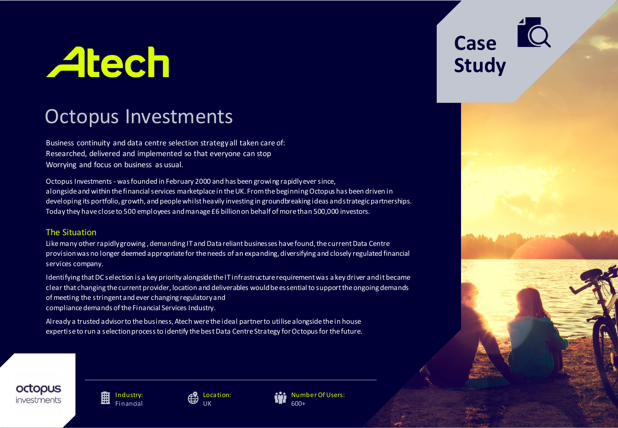# **Atech**

# Octopus Investments

Business continuity and data centre selection strategy all taken care of: Researched, delivered and implemented so that everyone can stop Worrying and focus on business as usual.

Octopus Investments - was founded in February 2000 and has been growing rapidly ever since, alongside and within the financial services marketplace in the UK. From the beginning Octopus has been driven in developing its portfolio, growth, and people whilst heavily investing in groundbreaking ideas and strategic partnerships. Today they have close to 500 employees and manage £6 billion on behalf of more than 500,000 investors.

## The Situation

Like many other rapidly growing , demanding IT and Data reliant businesses have found, the current Data Centre provision was no longer deemed appropriate for the needs of an expanding, diversifying and closely regulated financial services company.

Identifying that DC selection is a key priority alongside the IT infrastructure requirement was a key driver and it became clear that changing the current provider, location and deliverables would be essential to support the ongoing demands of meeting the stringent and ever changing regulatory and compliance demands of the Financial Services Industry.

Already a trusted advisor to the business, Atech were the ideal partner to utilisealongside the in house expertise to run a selection process to identify the best Data Centre Strategy for Octopus for the future. **Case Study**



麠 Industry: **Financial** 



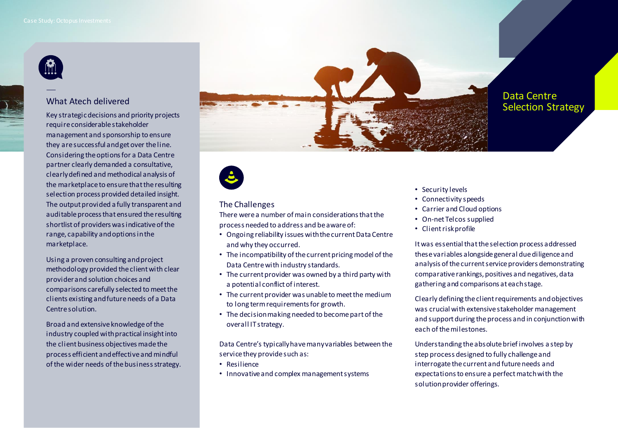

## What Atech delivered

Key strategic decisions and priority projects require considerable stakeholder management and sponsorship to ensure they are successful and get over the line. Considering the options for a Data Centre partner clearly demanded a consultative, clearly defined and methodical analysis of the marketplace to ensure that the resulting selection process provided detailed insight. The output provided a fully transparent and auditable process that ensured the resulting shortlist of providers was indicative of the range, capability and options in the marketplace.

Using a proven consulting and project methodology provided the client with clear provider and solution choices and comparisons carefully selected to meet the clients existing and future needs of a Data Centre solution.

Broad and extensive knowledge of the industry coupled with practical insight into the client business objectives made the process efficient and effective and mindful of the wider needs of the business strategy.





#### The Challenges

There were a number of main considerations that the process needed to address and be aware of:

- Ongoing reliability issues with the current Data Centre and why they occurred.
- The incompatibility of the current pricing model of the Data Centre with industry standards.
- The current provider was owned by a third party with a potential conflict of interest.
- The current provider was unable to meet the medium to long term requirements for growth.
- The decision making needed to become part of the overall IT strategy.

Data Centre's typically have many variables between the service they provide such as:

- Resilience
- Innovative and complex management systems
- Security levels
- Connectivity speeds
- Carrier and Cloud options
- On-net Telcos supplied
- Client risk profile

It was essential that the selection process addressed these variables alongside general due diligence and analysis of the current service providers demonstrating comparative rankings, positives and negatives, data gathering and comparisons at each stage.

Clearly defining the client requirements and objectives was crucial with extensive stakeholder management and support during the process and in conjunction with each of the milestones.

Understanding the absolute brief involves a step by step process designed to fully challenge and interrogate the current and future needs and expectations to ensure a perfect match with the solution provider offerings.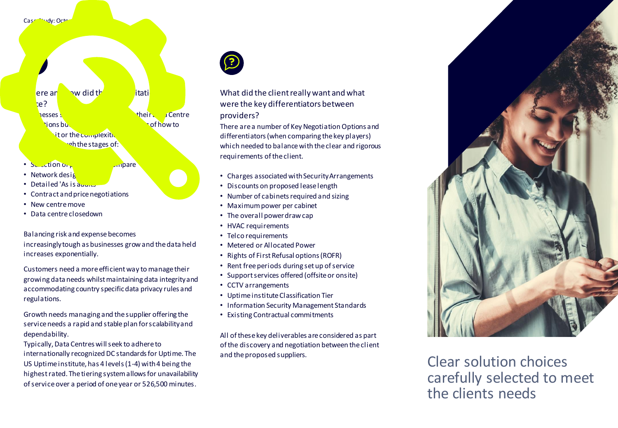#### Case Study: Octopus Investments

# $\begin{array}{ccc} \mathsf{ere} \text{ an } & \mathsf{tw} \text{ did } \mathsf{t} \mathsf{h} & \mathsf{if} \text{ at} \mathsf{it} \end{array}$ place? **Russes Seek to gain control over their Data Centre Little understanding of how to Nit or the complexitive** voh the stages of:

- Selection or providers to compare
- Network design
- Detailed 'As is audits'
- Contract and price negotiations
- New centremove
- Data centreclosedown

Balancing risk and expense becomes increasingly tough as businesses grow and the data held increases exponentially.

Customers need a more efficient way to manage their growing data needs whilst maintaining data integrity and accommodating country specific data privacy rules and regulations.

Growth needs managing and the supplier offering the service needs a rapid and stable plan for scalability and dependability.

Typically, Data Centreswill seek to adhere to internationally recognized DC standards for Uptime. The US Uptime institute, has 4 levels (1-4) with 4 being the highest rated. The tiering system allows for unavailability of service over a period of one year or 526,500 minutes.



What did the client really want and what were the key differentiators between providers?

There are a number of Key Negotiation Options and differentiators (when comparing the key players) which needed to balance with the clear and rigorous requirements of the client.

- Charges associated with Security Arrangements
- Discounts on proposed lease length
- Number of cabinets required and sizing
- Maximum power per cabinet
- The overall power draw cap
- HVAC requirements
- Telco requirements
- Metered or Allocated Power
- Rights of First Refusal options (ROFR)
- Rent free periods during set up of service
- Support services offered (offsite or onsite)
- CCTV arrangements
- Uptime institute Classification Tier
- Information Security Management Standards
- Existing Contractual commitments

All of these key deliverables are considered as part of the discovery and negotiation between the client and the proposed suppliers.



Clear solution choices carefully selected to meet the clients needs